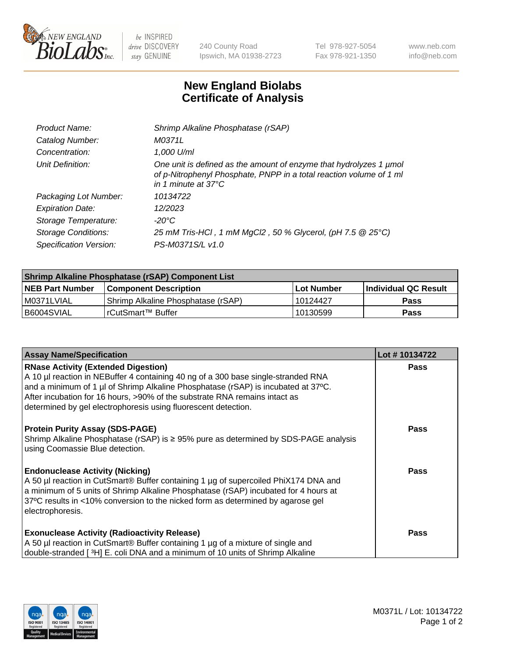

 $be$  INSPIRED drive DISCOVERY stay GENUINE

240 County Road Ipswich, MA 01938-2723 Tel 978-927-5054 Fax 978-921-1350 www.neb.com info@neb.com

## **New England Biolabs Certificate of Analysis**

| Product Name:              | Shrimp Alkaline Phosphatase (rSAP)                                                                                                                                         |
|----------------------------|----------------------------------------------------------------------------------------------------------------------------------------------------------------------------|
| Catalog Number:            | M0371L                                                                                                                                                                     |
| Concentration:             | 1,000 U/ml                                                                                                                                                                 |
| Unit Definition:           | One unit is defined as the amount of enzyme that hydrolyzes 1 µmol<br>of p-Nitrophenyl Phosphate, PNPP in a total reaction volume of 1 ml<br>in 1 minute at $37^{\circ}$ C |
| Packaging Lot Number:      | 10134722                                                                                                                                                                   |
| <b>Expiration Date:</b>    | 12/2023                                                                                                                                                                    |
| Storage Temperature:       | $-20^{\circ}$ C                                                                                                                                                            |
| <b>Storage Conditions:</b> | 25 mM Tris-HCl, 1 mM MgCl2, 50 % Glycerol, (pH 7.5 @ 25°C)                                                                                                                 |
| Specification Version:     | PS-M0371S/L v1.0                                                                                                                                                           |

| Shrimp Alkaline Phosphatase (rSAP) Component List |                                     |              |                      |  |  |
|---------------------------------------------------|-------------------------------------|--------------|----------------------|--|--|
| <b>NEB Part Number</b>                            | <b>Component Description</b>        | l Lot Number | Individual QC Result |  |  |
| I M0371LVIAL                                      | 'Shrimp Alkaline Phosphatase (rSAP) | 10124427     | <b>Pass</b>          |  |  |
| B6004SVIAL                                        | l rCutSmart™ Buffer                 | 10130599     | Pass                 |  |  |

| <b>Assay Name/Specification</b>                                                                                                                                                                                                                                                                                                                                      | Lot #10134722 |
|----------------------------------------------------------------------------------------------------------------------------------------------------------------------------------------------------------------------------------------------------------------------------------------------------------------------------------------------------------------------|---------------|
| <b>RNase Activity (Extended Digestion)</b><br>A 10 µl reaction in NEBuffer 4 containing 40 ng of a 300 base single-stranded RNA<br>and a minimum of 1 µl of Shrimp Alkaline Phosphatase (rSAP) is incubated at 37°C.<br>After incubation for 16 hours, >90% of the substrate RNA remains intact as<br>determined by gel electrophoresis using fluorescent detection. | <b>Pass</b>   |
| <b>Protein Purity Assay (SDS-PAGE)</b><br>Shrimp Alkaline Phosphatase (rSAP) is ≥ 95% pure as determined by SDS-PAGE analysis<br>using Coomassie Blue detection.                                                                                                                                                                                                     | <b>Pass</b>   |
| <b>Endonuclease Activity (Nicking)</b><br>A 50 µl reaction in CutSmart® Buffer containing 1 µg of supercoiled PhiX174 DNA and<br>a minimum of 5 units of Shrimp Alkaline Phosphatase (rSAP) incubated for 4 hours at<br>37°C results in <10% conversion to the nicked form as determined by agarose gel<br>electrophoresis.                                          | Pass          |
| <b>Exonuclease Activity (Radioactivity Release)</b><br>A 50 µl reaction in CutSmart® Buffer containing 1 µg of a mixture of single and<br>double-stranded [3H] E. coli DNA and a minimum of 10 units of Shrimp Alkaline                                                                                                                                              | <b>Pass</b>   |